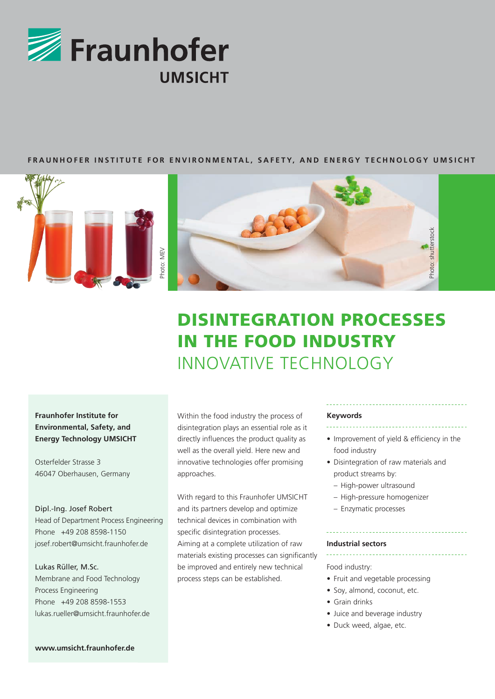

## **FRAUNHOFER INSTITUTE FOR ENVIRONMENTAL, SAFETY, AND ENERGY TECHNOLOGY UMSICHT**





# DISINTEGRATION PROCESSES IN THE FOOD INDUSTRY INNOVATIVE TECHNOLOGY

# **Fraunhofer Institute for Environmental, Safety, and Energy Technology UMSICHT**

Osterfelder Strasse 3 46047 Oberhausen, Germany

## Dipl.-Ing. Josef Robert

Head of Department Process Engineering Phone +49 208 8598-1150 josef.robert@umsicht.fraunhofer.de

Lukas Rüller, M.Sc. Membrane and Food Technology Process Engineering Phone +49 208 8598-1553 lukas.rueller@umsicht.fraunhofer.de Within the food industry the process of disintegration plays an essential role as it directly influences the product quality as well as the overall yield. Here new and innovative technologies offer promising approaches.

With regard to this Fraunhofer UMSICHT and its partners develop and optimize technical devices in combination with specific disintegration processes. Aiming at a complete utilization of raw materials existing processes can significantly be improved and entirely new technical process steps can be established.

#### **Keywords**

- Improvement of yield & efficiency in the
- food industry
- Disintegration of raw materials and product streams by:
	- High-power ultrasound
	- High-pressure homogenizer
	- Enzymatic processes

#### **Industrial sectors**

## Food industry:

- Fruit and vegetable processing
- Soy, almond, coconut, etc.
- Grain drinks
- Juice and beverage industry
- Duck weed, algae, etc.